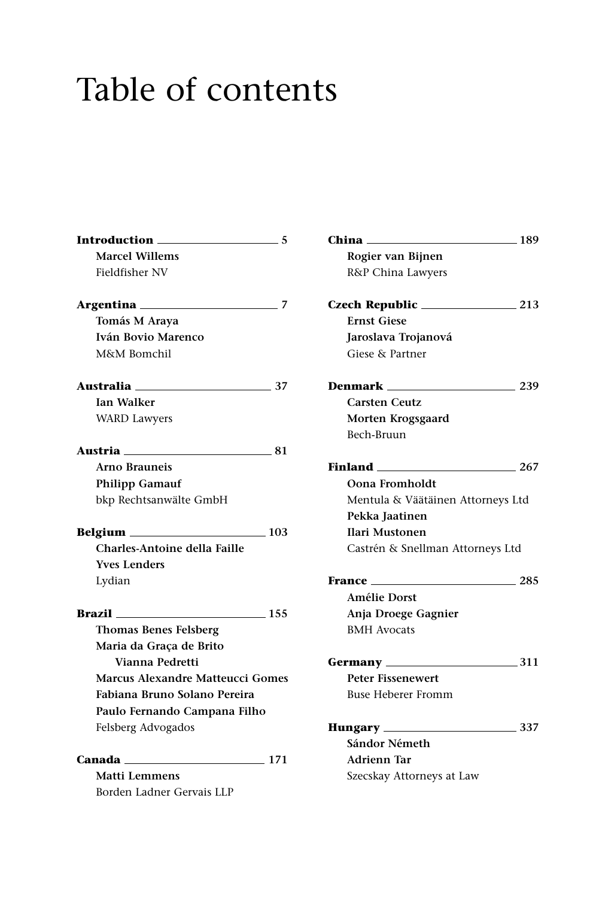## Table of contents

| Introduction                                                                                                                                                                                                                  | 5   |
|-------------------------------------------------------------------------------------------------------------------------------------------------------------------------------------------------------------------------------|-----|
| <b>Marcel Willems</b>                                                                                                                                                                                                         |     |
| Fieldfisher NV                                                                                                                                                                                                                |     |
|                                                                                                                                                                                                                               | 7   |
| Tomás M Araya                                                                                                                                                                                                                 |     |
| Iván Bovio Marenco                                                                                                                                                                                                            |     |
| M&M Bomchil                                                                                                                                                                                                                   |     |
| <i><b>Australia</b></i>                                                                                                                                                                                                       | -37 |
| <b>Ian Walker</b>                                                                                                                                                                                                             |     |
| <b>WARD Lawyers</b>                                                                                                                                                                                                           |     |
| Austria <b>____</b><br>$\sim$ 81                                                                                                                                                                                              |     |
| Arno Brauneis                                                                                                                                                                                                                 |     |
| <b>Philipp Gamauf</b>                                                                                                                                                                                                         |     |
| bkp Rechtsanwälte GmbH                                                                                                                                                                                                        |     |
| $\equiv$ 103 $\,$                                                                                                                                                                                                             |     |
| <b>Charles-Antoine della Faille</b>                                                                                                                                                                                           |     |
| <b>Yves Lenders</b>                                                                                                                                                                                                           |     |
| Lydian                                                                                                                                                                                                                        |     |
| 155                                                                                                                                                                                                                           |     |
| <b>Thomas Benes Felsberg</b>                                                                                                                                                                                                  |     |
| Maria da Graca de Brito                                                                                                                                                                                                       |     |
| Vianna Pedretti                                                                                                                                                                                                               |     |
| <b>Marcus Alexandre Matteucci Gomes</b>                                                                                                                                                                                       |     |
| Fabiana Bruno Solano Pereira                                                                                                                                                                                                  |     |
| Paulo Fernando Campana Filho                                                                                                                                                                                                  |     |
| Felsberg Advogados                                                                                                                                                                                                            |     |
| Canada 2008 - 2014 - 2022 - 2023 - 2024 - 2024 - 2024 - 2024 - 2024 - 2024 - 2024 - 2024 - 2024 - 2024 - 2024 - 2024 - 2024 - 2024 - 2024 - 2024 - 2024 - 2024 - 2024 - 2024 - 2024 - 2024 - 2024 - 2024 - 2024 - 2024 - 2024 |     |
| <b>Matti Lemmens</b>                                                                                                                                                                                                          |     |
| Borden Ladner Gervais LLP                                                                                                                                                                                                     |     |

| Rogier van Bijnen<br>R&P China Lawyers |       |
|----------------------------------------|-------|
|                                        |       |
|                                        |       |
|                                        |       |
| <b>Ernst Giese</b>                     |       |
| Jaroslava Trojanová                    |       |
| Giese & Partner                        |       |
|                                        | 239   |
| <b>Carsten Ceutz</b>                   |       |
| Morten Krogsgaard                      |       |
| Bech-Bruun                             |       |
| Finland 267                            |       |
| Oona Fromholdt                         |       |
| Mentula & Väätäinen Attorneys Ltd      |       |
| Pekka Jaatinen                         |       |
| <b>Ilari Mustonen</b>                  |       |
| Castrén & Snellman Attorneys Ltd       |       |
| <b>France</b> ____                     | - 285 |
| <b>Amélie Dorst</b>                    |       |
| Anja Droege Gagnier                    |       |
| <b>BMH</b> Avocats                     |       |
|                                        |       |
| <b>Peter Fissenewert</b>               |       |
| <b>Buse Heberer Fromm</b>              |       |
| Hungary _____                          | - 337 |
| Sándor Németh                          |       |
| <b>Adrienn Tar</b>                     |       |
| Szecskay Attorneys at Law              |       |